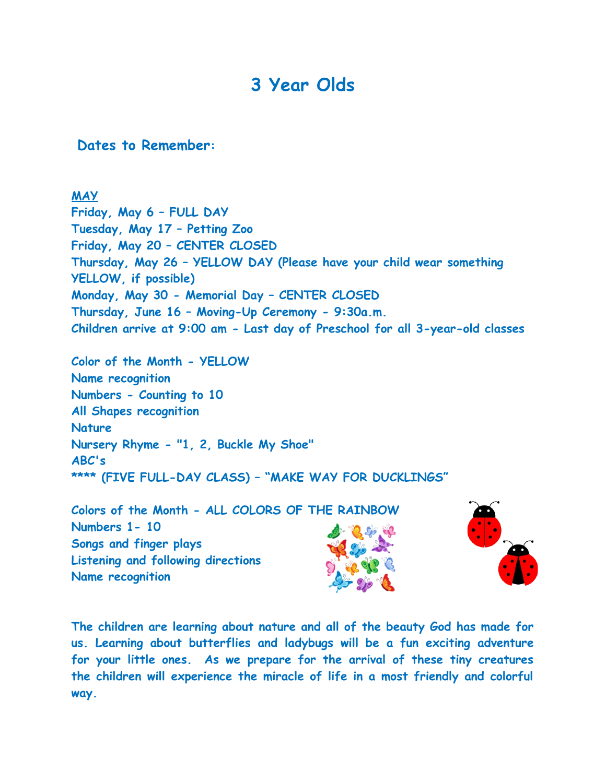## **3 Year Olds**

 **Dates to Remember:** 

## **MAY**

**Friday, May 6 – FULL DAY Tuesday, May 17 – Petting Zoo Friday, May 20 – CENTER CLOSED Thursday, May 26 – YELLOW DAY (Please have your child wear something YELLOW, if possible) Monday, May 30 - Memorial Day – CENTER CLOSED Thursday, June 16 – Moving-Up Ceremony - 9:30a.m. Children arrive at 9:00 am - Last day of Preschool for all 3-year-old classes**

**Color of the Month - YELLOW Name recognition Numbers - Counting to 10 All Shapes recognition Nature Nursery Rhyme - "1, 2, Buckle My Shoe" ABC's \*\*\*\* (FIVE FULL-DAY CLASS) – "MAKE WAY FOR DUCKLINGS"**



**The children are learning about nature and all of the beauty God has made for us. Learning about butterflies and ladybugs will be a fun exciting adventure for your little ones. As we prepare for the arrival of these tiny creatures the children will experience the miracle of life in a most friendly and colorful way.**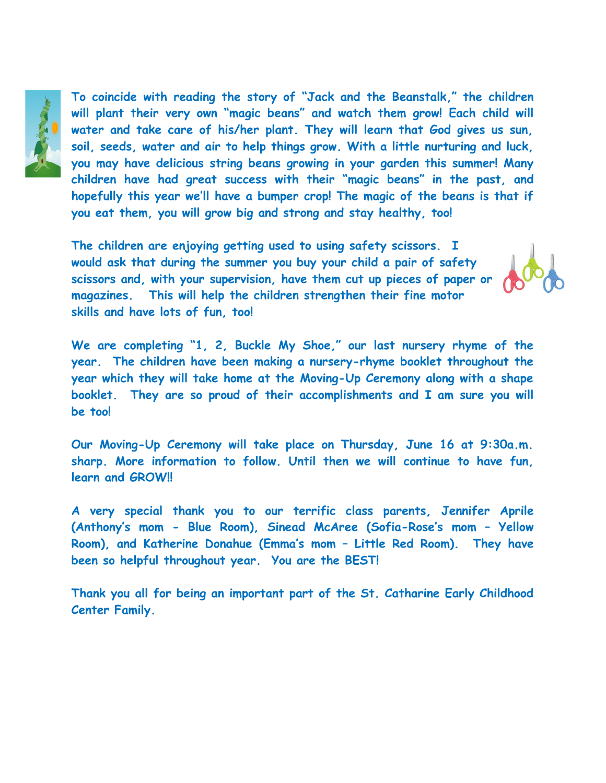

**To coincide with reading the story of "Jack and the Beanstalk," the children will plant their very own "magic beans" and watch them grow! Each child will water and take care of his/her plant. They will learn that God gives us sun, soil, seeds, water and air to help things grow. With a little nurturing and luck, you may have delicious string beans growing in your garden this summer! Many children have had great success with their "magic beans" in the past, and hopefully this year we'll have a bumper crop! The magic of the beans is that if you eat them, you will grow big and strong and stay healthy, too!**

**The children are enjoying getting used to using safety scissors. I would ask that during the summer you buy your child a pair of safety scissors and, with your supervision, have them cut up pieces of paper or magazines. This will help the children strengthen their fine motor skills and have lots of fun, too!**



**We are completing "1, 2, Buckle My Shoe," our last nursery rhyme of the year. The children have been making a nursery-rhyme booklet throughout the year which they will take home at the Moving-Up Ceremony along with a shape booklet. They are so proud of their accomplishments and I am sure you will be too!**

**Our Moving-Up Ceremony will take place on Thursday, June 16 at 9:30a.m. sharp. More information to follow. Until then we will continue to have fun, learn and GROW!!**

**A very special thank you to our terrific class parents, Jennifer Aprile (Anthony's mom - Blue Room), Sinead McAree (Sofia-Rose's mom – Yellow Room), and Katherine Donahue (Emma's mom – Little Red Room). They have been so helpful throughout year. You are the BEST!**

**Thank you all for being an important part of the St. Catharine Early Childhood Center Family.**